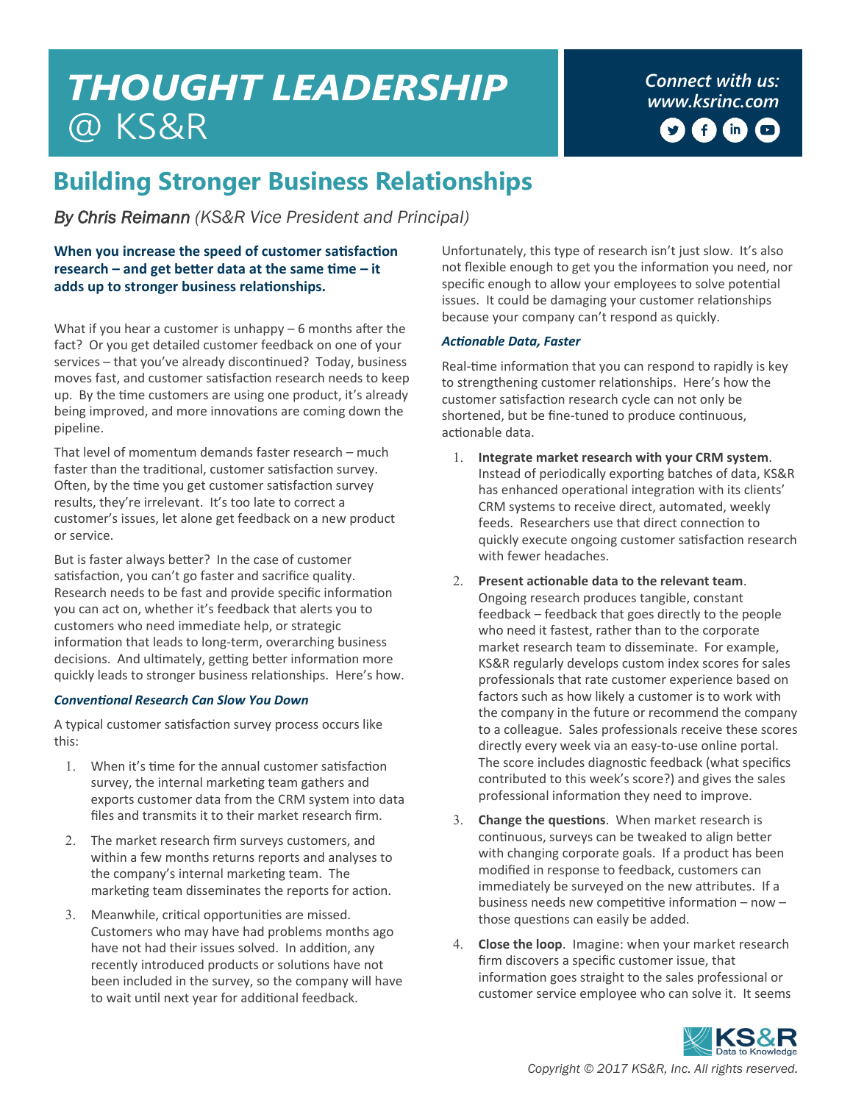# **THOUGHT LEADERSHIP** @ KS&R

## **Building Stronger Business Relationships**

*By Chris Reimann (KS&R Vice President and Principal)* 

#### **When you increase the speed of customer satisfaction research – and get better data at the same time – it adds up to stronger business relationships.**

What if you hear a customer is unhappy – 6 months after the fact? Or you get detailed customer feedback on one of your services – that you've already discontinued? Today, business moves fast, and customer satisfaction research needs to keep up. By the time customers are using one product, it's already being improved, and more innovations are coming down the pipeline.

That level of momentum demands faster research – much faster than the traditional, customer satisfaction survey. Often, by the time you get customer satisfaction survey results, they're irrelevant. It's too late to correct a customer's issues, let alone get feedback on a new product or service.

But is faster always better? In the case of customer satisfaction, you can't go faster and sacrifice quality. Research needs to be fast and provide specific information you can act on, whether it's feedback that alerts you to customers who need immediate help, or strategic information that leads to long-term, overarching business decisions. And ultimately, getting better information more quickly leads to stronger business relationships. Here's how.

#### *Conventional Research Can Slow You Down*

A typical customer satisfaction survey process occurs like this:

- When it's time for the annual customer satisfaction survey, the internal marketing team gathers and exports customer data from the CRM system into data files and transmits it to their market research firm.
- The market research firm surveys customers, and within a few months returns reports and analyses to the company's internal marketing team. The marketing team disseminates the reports for action.
- Meanwhile, critical opportunities are missed. Customers who may have had problems months ago have not had their issues solved. In addition, any recently introduced products or solutions have not been included in the survey, so the company will have to wait until next year for additional feedback.

Unfortunately, this type of research isn't just slow. It's also not flexible enough to get you the information you need, nor specific enough to allow your employees to solve potential issues. It could be damaging your customer relationships because your company can't respond as quickly.

#### *Actionable Data, Faster*

Real-time information that you can respond to rapidly is key to strengthening customer relationships. Here's how the customer satisfaction research cycle can not only be shortened, but be fine-tuned to produce continuous, actionable data.

- **Integrate market research with your CRM system**. Instead of periodically exporting batches of data, KS&R has enhanced operational integration with its clients' CRM systems to receive direct, automated, weekly feeds. Researchers use that direct connection to quickly execute ongoing customer satisfaction research with fewer headaches.
- **Present actionable data to the relevant team**. Ongoing research produces tangible, constant feedback – feedback that goes directly to the people who need it fastest, rather than to the corporate market research team to disseminate. For example, KS&R regularly develops custom index scores for sales professionals that rate customer experience based on factors such as how likely a customer is to work with the company in the future or recommend the company to a colleague. Sales professionals receive these scores directly every week via an easy-to-use online portal. The score includes diagnostic feedback (what specifics contributed to this week's score?) and gives the sales professional information they need to improve.
- **Change the questions**. When market research is continuous, surveys can be tweaked to align better with changing corporate goals. If a product has been modified in response to feedback, customers can immediately be surveyed on the new attributes. If a business needs new competitive information – now – those questions can easily be added.
- **Close the loop**. Imagine: when your market research firm discovers a specific customer issue, that information goes straight to the sales professional or customer service employee who can solve it. It seems